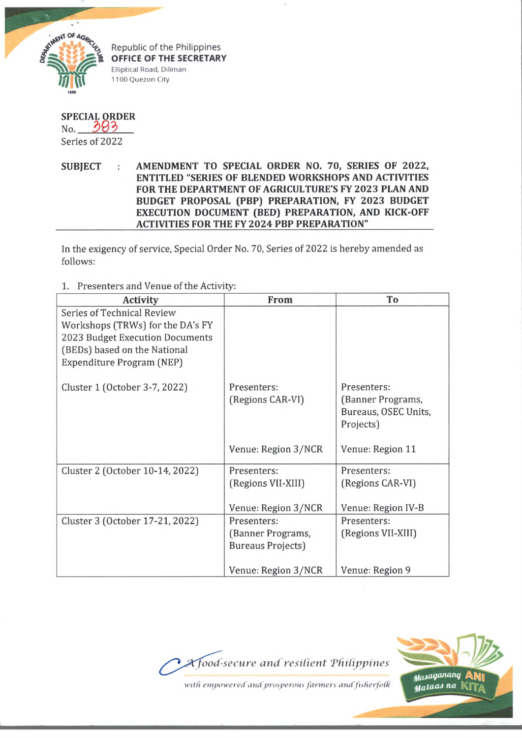

Republic of the Philippines **OFFICE OF THE SECRETARY** Elliptical Road, Diliman 1100 Quezon City

## **SPECIAL ORDER**

No. 383 Series of 2022

SUBJECT : AMENDMENT TO SPECIAL ORDER NO. 70, SERIES OF 2022, **ENTITLED "SERIES OF BLENDED WORKSHOPS AND ACTIVITIES FOR THE DEPARTMENT OF AGRICULTURE'S FY 2023 PLAN AND BUDGET PROPOSAL (PBP) PREPARATION, FY 2023 BUDGET EXECUTION DOCUMENT (BED) PREPARATION, AND KICK-OFF ACTIVITIES FOR THE FY 2024 PBP PREPARATION"**

In the exigency of service, Special Order No. 70, Series of 2022 is hereby amended as follows:

1. Presenters and Venue of the Activity:

| <b>Activity</b>                                                                                                                                                | From                                                         | To                                                                    |
|----------------------------------------------------------------------------------------------------------------------------------------------------------------|--------------------------------------------------------------|-----------------------------------------------------------------------|
| Series of Technical Review<br>Workshops (TRWs) for the DA's FY<br>2023 Budget Execution Documents<br>(BEDs) based on the National<br>Expenditure Program (NEP) |                                                              |                                                                       |
| Cluster 1 (October 3-7, 2022)                                                                                                                                  | Presenters:<br>(Regions CAR-VI)                              | Presenters:<br>(Banner Programs,<br>Bureaus, OSEC Units,<br>Projects) |
|                                                                                                                                                                | Venue: Region 3/NCR                                          | Venue: Region 11                                                      |
| Cluster 2 (October 10-14, 2022)                                                                                                                                | Presenters:<br>(Regions VII-XIII)<br>Venue: Region 3/NCR     | Presenters:<br>(Regions CAR-VI)<br>Venue: Region IV-B                 |
| Cluster 3 (October 17-21, 2022)                                                                                                                                | Presenters:<br>(Banner Programs,<br><b>Bureaus Projects)</b> | Presenters:<br>(Regions VII-XIII)                                     |
|                                                                                                                                                                | Venue: Region 3/NCR                                          | Venue: Region 9                                                       |





*tfaMQaMuuj* ANi *^alo-OA na*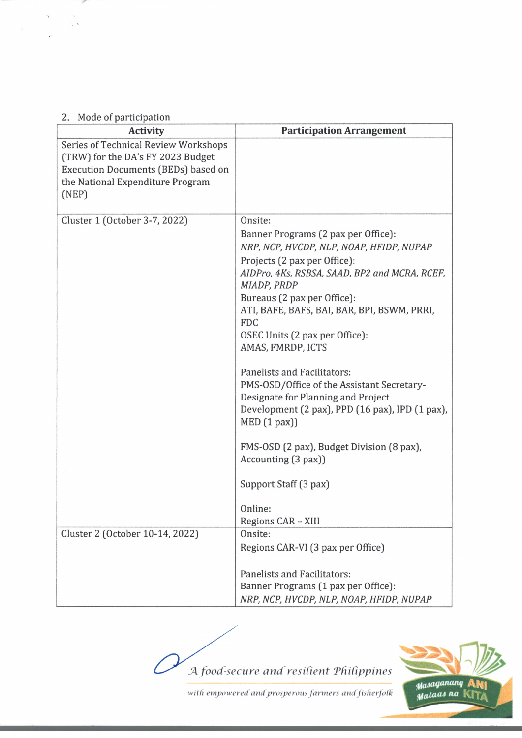## 2. Mode of participation

 $\gamma$ 

 $\hat{\mathbf{y}}$ 

 $\sim$  $\hat{\mathcal{C}}$ 

| <b>Activity</b>                      | <b>Participation Arrangement</b>                |
|--------------------------------------|-------------------------------------------------|
| Series of Technical Review Workshops |                                                 |
| (TRW) for the DA's FY 2023 Budget    |                                                 |
| Execution Documents (BEDs) based on  |                                                 |
| the National Expenditure Program     |                                                 |
| (NEP)                                |                                                 |
| Cluster 1 (October 3-7, 2022)        | Onsite:                                         |
|                                      | Banner Programs (2 pax per Office):             |
|                                      | NRP, NCP, HVCDP, NLP, NOAP, HFIDP, NUPAP        |
|                                      | Projects (2 pax per Office):                    |
|                                      | AIDPro, 4Ks, RSBSA, SAAD, BP2 and MCRA, RCEF,   |
|                                      | MIADP, PRDP                                     |
|                                      | Bureaus (2 pax per Office):                     |
|                                      | ATI, BAFE, BAFS, BAI, BAR, BPI, BSWM, PRRI,     |
|                                      | <b>FDC</b>                                      |
|                                      | OSEC Units (2 pax per Office):                  |
|                                      | AMAS, FMRDP, ICTS                               |
|                                      | <b>Panelists and Facilitators:</b>              |
|                                      | PMS-OSD/Office of the Assistant Secretary-      |
|                                      | Designate for Planning and Project              |
|                                      | Development (2 pax), PPD (16 pax), IPD (1 pax), |
|                                      | $MED(1$ pax $))$                                |
|                                      | FMS-OSD (2 pax), Budget Division (8 pax),       |
|                                      | Accounting (3 pax))                             |
|                                      |                                                 |
|                                      | Support Staff (3 pax)                           |
|                                      | Online:                                         |
|                                      | Regions CAR - XIII                              |
| Cluster 2 (October 10-14, 2022)      | Onsite:                                         |
|                                      | Regions CAR-VI (3 pax per Office)               |
|                                      |                                                 |
|                                      | <b>Panelists and Facilitators:</b>              |
|                                      | Banner Programs (1 pax per Office):             |
|                                      | NRP, NCP, HVCDP, NLP, NOAP, HFIDP, NUPAP        |

*'A food-secure and resilient "Philippines*



*with empowered and prosperous farmers andfisherjolk*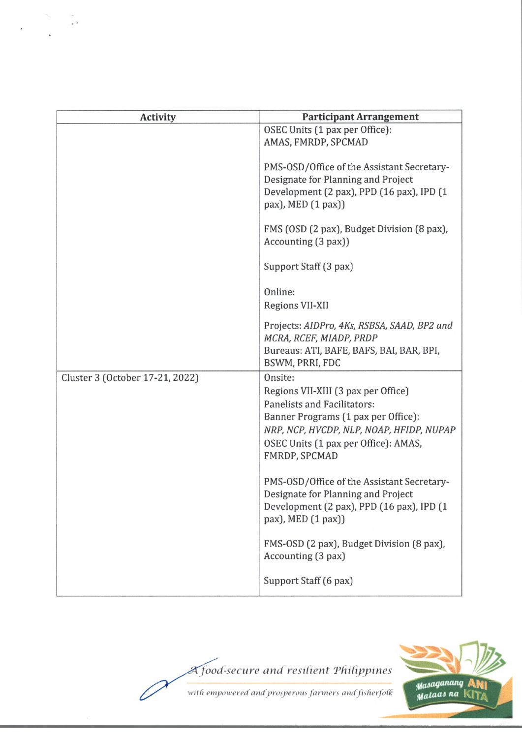| <b>Activity</b>                 | <b>Participant Arrangement</b>                                                                                                                                                                                            |
|---------------------------------|---------------------------------------------------------------------------------------------------------------------------------------------------------------------------------------------------------------------------|
|                                 | OSEC Units (1 pax per Office):<br>AMAS, FMRDP, SPCMAD                                                                                                                                                                     |
|                                 | PMS-OSD/Office of the Assistant Secretary-<br>Designate for Planning and Project<br>Development (2 pax), PPD (16 pax), IPD (1<br>pax), MED (1 pax))                                                                       |
|                                 | FMS (OSD (2 pax), Budget Division (8 pax),<br>Accounting (3 pax))                                                                                                                                                         |
|                                 | Support Staff (3 pax)                                                                                                                                                                                                     |
|                                 | Online:<br>Regions VII-XII                                                                                                                                                                                                |
|                                 | Projects: AIDPro, 4Ks, RSBSA, SAAD, BP2 and<br>MCRA, RCEF, MIADP, PRDP<br>Bureaus: ATI, BAFE, BAFS, BAI, BAR, BPI,<br>BSWM, PRRI, FDC                                                                                     |
| Cluster 3 (October 17-21, 2022) | Onsite:<br>Regions VII-XIII (3 pax per Office)<br>Panelists and Facilitators:<br>Banner Programs (1 pax per Office):<br>NRP, NCP, HVCDP, NLP, NOAP, HFIDP, NUPAP<br>OSEC Units (1 pax per Office): AMAS,<br>FMRDP, SPCMAD |
|                                 | PMS-OSD/Office of the Assistant Secretary-<br>Designate for Planning and Project<br>Development (2 pax), PPD (16 pax), IPD (1<br>pax), MED (1 pax))                                                                       |
|                                 | FMS-OSD (2 pax), Budget Division (8 pax),<br>Accounting (3 pax)                                                                                                                                                           |
|                                 | Support Staff (6 pax)                                                                                                                                                                                                     |

 $\bar{s}$